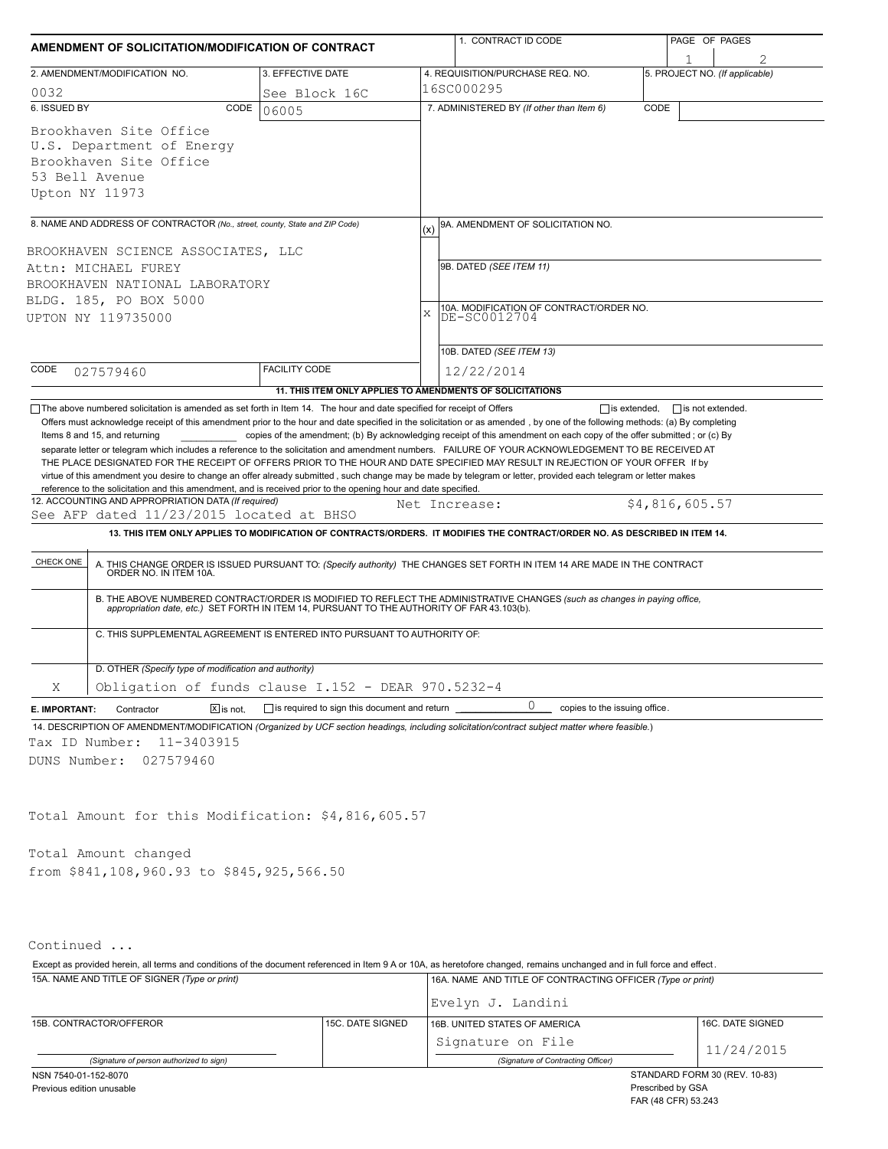| AMENDMENT OF SOLICITATION/MODIFICATION OF CONTRACT                                                                                                                            |                                                                          |                   | 1. CONTRACT ID CODE                                                                                                                                                                                                                                                                                                                                                                                                                                                                  |      | PAGE OF PAGES                  |  |  |  |
|-------------------------------------------------------------------------------------------------------------------------------------------------------------------------------|--------------------------------------------------------------------------|-------------------|--------------------------------------------------------------------------------------------------------------------------------------------------------------------------------------------------------------------------------------------------------------------------------------------------------------------------------------------------------------------------------------------------------------------------------------------------------------------------------------|------|--------------------------------|--|--|--|
|                                                                                                                                                                               |                                                                          |                   |                                                                                                                                                                                                                                                                                                                                                                                                                                                                                      |      |                                |  |  |  |
| 2. AMENDMENT/MODIFICATION NO.                                                                                                                                                 | 3. EFFECTIVE DATE                                                        |                   | 4. REQUISITION/PURCHASE REQ. NO.                                                                                                                                                                                                                                                                                                                                                                                                                                                     |      | 5. PROJECT NO. (If applicable) |  |  |  |
| 0032<br>6. ISSUED BY                                                                                                                                                          | See Block 16C                                                            |                   | 16SC000295                                                                                                                                                                                                                                                                                                                                                                                                                                                                           |      |                                |  |  |  |
| CODE                                                                                                                                                                          | 06005                                                                    |                   | 7. ADMINISTERED BY (If other than Item 6)                                                                                                                                                                                                                                                                                                                                                                                                                                            | CODE |                                |  |  |  |
| Brookhaven Site Office<br>U.S. Department of Energy                                                                                                                           |                                                                          |                   |                                                                                                                                                                                                                                                                                                                                                                                                                                                                                      |      |                                |  |  |  |
| Brookhaven Site Office                                                                                                                                                        |                                                                          |                   |                                                                                                                                                                                                                                                                                                                                                                                                                                                                                      |      |                                |  |  |  |
| 53 Bell Avenue                                                                                                                                                                |                                                                          |                   |                                                                                                                                                                                                                                                                                                                                                                                                                                                                                      |      |                                |  |  |  |
| Upton NY 11973                                                                                                                                                                |                                                                          |                   |                                                                                                                                                                                                                                                                                                                                                                                                                                                                                      |      |                                |  |  |  |
| 8. NAME AND ADDRESS OF CONTRACTOR (No., street, county, State and ZIP Code)                                                                                                   |                                                                          |                   |                                                                                                                                                                                                                                                                                                                                                                                                                                                                                      |      |                                |  |  |  |
|                                                                                                                                                                               |                                                                          | (x)               | 9A. AMENDMENT OF SOLICITATION NO.                                                                                                                                                                                                                                                                                                                                                                                                                                                    |      |                                |  |  |  |
| BROOKHAVEN SCIENCE ASSOCIATES, LLC<br>Attn: MICHAEL FUREY                                                                                                                     |                                                                          |                   | 9B. DATED (SEE ITEM 11)                                                                                                                                                                                                                                                                                                                                                                                                                                                              |      |                                |  |  |  |
|                                                                                                                                                                               |                                                                          |                   |                                                                                                                                                                                                                                                                                                                                                                                                                                                                                      |      |                                |  |  |  |
| BROOKHAVEN NATIONAL LABORATORY<br>BLDG. 185, PO BOX 5000                                                                                                                      |                                                                          |                   |                                                                                                                                                                                                                                                                                                                                                                                                                                                                                      |      |                                |  |  |  |
| UPTON NY 119735000                                                                                                                                                            |                                                                          | X                 | 10A. MODIFICATION OF CONTRACT/ORDER NO.<br>DE-SC0012704                                                                                                                                                                                                                                                                                                                                                                                                                              |      |                                |  |  |  |
|                                                                                                                                                                               |                                                                          |                   |                                                                                                                                                                                                                                                                                                                                                                                                                                                                                      |      |                                |  |  |  |
|                                                                                                                                                                               |                                                                          |                   | 10B. DATED (SEE ITEM 13)                                                                                                                                                                                                                                                                                                                                                                                                                                                             |      |                                |  |  |  |
| CODE<br>027579460                                                                                                                                                             | <b>FACILITY CODE</b>                                                     |                   | 12/22/2014                                                                                                                                                                                                                                                                                                                                                                                                                                                                           |      |                                |  |  |  |
|                                                                                                                                                                               | 11. THIS ITEM ONLY APPLIES TO AMENDMENTS OF SOLICITATIONS                |                   |                                                                                                                                                                                                                                                                                                                                                                                                                                                                                      |      |                                |  |  |  |
| See AFP dated 11/23/2015 located at BHSO<br>CHECK ONE<br>ORDER NO. IN ITEM 10A.                                                                                               | C. THIS SUPPLEMENTAL AGREEMENT IS ENTERED INTO PURSUANT TO AUTHORITY OF: |                   | 13. THIS ITEM ONLY APPLIES TO MODIFICATION OF CONTRACTS/ORDERS. IT MODIFIES THE CONTRACT/ORDER NO. AS DESCRIBED IN ITEM 14.<br>A. THIS CHANGE ORDER IS ISSUED PURSUANT TO: (Specify authority) THE CHANGES SET FORTH IN ITEM 14 ARE MADE IN THE CONTRACT<br>B. THE ABOVE NUMBERED CONTRACT/ORDER IS MODIFIED TO REFLECT THE ADMINISTRATIVE CHANGES (such as changes in paying office,<br>appropriation date, etc.) SET FORTH IN ITEM 14, PURSUANT TO THE AUTHORITY OF FAR 43.103(b). |      |                                |  |  |  |
| D. OTHER (Specify type of modification and authority)                                                                                                                         |                                                                          |                   |                                                                                                                                                                                                                                                                                                                                                                                                                                                                                      |      |                                |  |  |  |
| Χ                                                                                                                                                                             | Obligation of funds clause I.152 - DEAR 970.5232-4                       |                   |                                                                                                                                                                                                                                                                                                                                                                                                                                                                                      |      |                                |  |  |  |
| $X$ is not.<br>E. IMPORTANT:<br>Contractor                                                                                                                                    | $\Box$ is required to sign this document and return                      |                   | 0<br>copies to the issuing office.                                                                                                                                                                                                                                                                                                                                                                                                                                                   |      |                                |  |  |  |
| 14. DESCRIPTION OF AMENDMENT/MODIFICATION (Organized by UCF section headings, including solicitation/contract subject matter where feasible.)<br>11-3403915<br>Tax ID Number: |                                                                          |                   |                                                                                                                                                                                                                                                                                                                                                                                                                                                                                      |      |                                |  |  |  |
| DUNS Number:<br>027579460                                                                                                                                                     |                                                                          |                   |                                                                                                                                                                                                                                                                                                                                                                                                                                                                                      |      |                                |  |  |  |
|                                                                                                                                                                               |                                                                          |                   |                                                                                                                                                                                                                                                                                                                                                                                                                                                                                      |      |                                |  |  |  |
|                                                                                                                                                                               |                                                                          |                   |                                                                                                                                                                                                                                                                                                                                                                                                                                                                                      |      |                                |  |  |  |
| Total Amount for this Modification: \$4,816,605.57                                                                                                                            |                                                                          |                   |                                                                                                                                                                                                                                                                                                                                                                                                                                                                                      |      |                                |  |  |  |
|                                                                                                                                                                               |                                                                          |                   |                                                                                                                                                                                                                                                                                                                                                                                                                                                                                      |      |                                |  |  |  |
| Total Amount changed                                                                                                                                                          |                                                                          |                   |                                                                                                                                                                                                                                                                                                                                                                                                                                                                                      |      |                                |  |  |  |
| from \$841,108,960.93 to \$845,925,566.50                                                                                                                                     |                                                                          |                   |                                                                                                                                                                                                                                                                                                                                                                                                                                                                                      |      |                                |  |  |  |
|                                                                                                                                                                               |                                                                          |                   |                                                                                                                                                                                                                                                                                                                                                                                                                                                                                      |      |                                |  |  |  |
|                                                                                                                                                                               |                                                                          |                   |                                                                                                                                                                                                                                                                                                                                                                                                                                                                                      |      |                                |  |  |  |
| Continued                                                                                                                                                                     |                                                                          |                   |                                                                                                                                                                                                                                                                                                                                                                                                                                                                                      |      |                                |  |  |  |
| Except as provided herein, all terms and conditions of the document referenced in Item 9 A or 10A, as heretofore changed, remains unchanged and in full force and effect.     |                                                                          |                   |                                                                                                                                                                                                                                                                                                                                                                                                                                                                                      |      |                                |  |  |  |
| 15A. NAME AND TITLE OF SIGNER (Type or print)                                                                                                                                 |                                                                          |                   | 16A. NAME AND TITLE OF CONTRACTING OFFICER (Type or print)                                                                                                                                                                                                                                                                                                                                                                                                                           |      |                                |  |  |  |
|                                                                                                                                                                               |                                                                          | Evelyn J. Landini |                                                                                                                                                                                                                                                                                                                                                                                                                                                                                      |      |                                |  |  |  |

|                                          |                  | Evelyn J. Landini                  |                               |  |
|------------------------------------------|------------------|------------------------------------|-------------------------------|--|
| 15B. CONTRACTOR/OFFEROR                  | 15C. DATE SIGNED | 16B. UNITED STATES OF AMERICA      | 16C. DATE SIGNED              |  |
|                                          |                  | Signature on File                  | 11/24/2015                    |  |
| (Signature of person authorized to sign) |                  | (Signature of Contracting Officer) |                               |  |
| NSN 7540-01-152-8070                     |                  |                                    | STANDARD FORM 30 (REV. 10-83) |  |